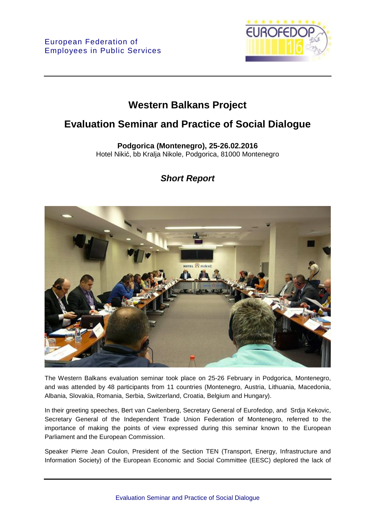

## **Western Balkans Project**

## **Evaluation Seminar and Practice of Social Dialogue**

**Podgorica (Montenegro), 25-26.02.2016**  Hotel Nikić, bb Kralja Nikole, Podgorica, 81000 Montenegro

## *Short Report*



The Western Balkans evaluation seminar took place on 25-26 February in Podgorica, Montenegro, and was attended by 48 participants from 11 countries (Montenegro, Austria, Lithuania, Macedonia, Albania, Slovakia, Romania, Serbia, Switzerland, Croatia, Belgium and Hungary).

In their greeting speeches, Bert van Caelenberg, Secretary General of Eurofedop, and Srdja Kekovic, Secretary General of the Independent Trade Union Federation of Montenegro, referred to the importance of making the points of view expressed during this seminar known to the European Parliament and the European Commission.

Speaker Pierre Jean Coulon, President of the Section TEN (Transport, Energy, Infrastructure and Information Society) of the European Economic and Social Committee (EESC) deplored the lack of